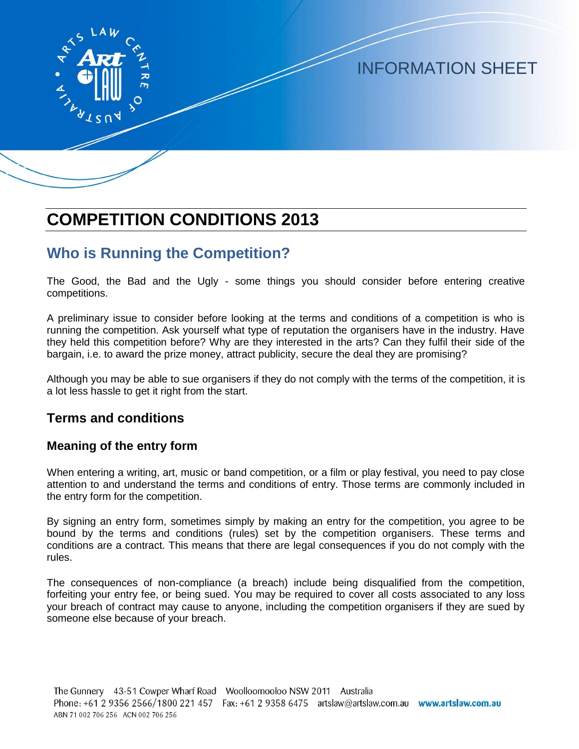

# INFORMATION SHEET

# **COMPETITION CONDITIONS 2013**

## **Who is Running the Competition?**

The Good, the Bad and the Ugly - some things you should consider before entering creative competitions.

A preliminary issue to consider before looking at the terms and conditions of a competition is who is running the competition. Ask yourself what type of reputation the organisers have in the industry. Have they held this competition before? Why are they interested in the arts? Can they fulfil their side of the bargain, i.e. to award the prize money, attract publicity, secure the deal they are promising?

Although you may be able to sue organisers if they do not comply with the terms of the competition, it is a lot less hassle to get it right from the start.

### **Terms and conditions**

#### **Meaning of the entry form**

When entering a writing, art, music or band competition, or a film or play festival, you need to pay close attention to and understand the terms and conditions of entry. Those terms are commonly included in the entry form for the competition.

By signing an entry form, sometimes simply by making an entry for the competition, you agree to be bound by the terms and conditions (rules) set by the competition organisers. These terms and conditions are a contract. This means that there are legal consequences if you do not comply with the rules.

The consequences of non-compliance (a breach) include being disqualified from the competition, forfeiting your entry fee, or being sued. You may be required to cover all costs associated to any loss your breach of contract may cause to anyone, including the competition organisers if they are sued by someone else because of your breach.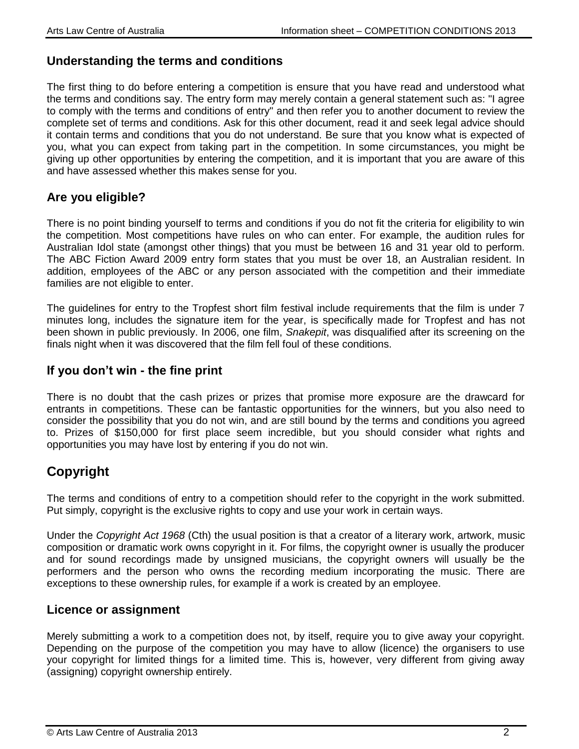#### **Understanding the terms and conditions**

The first thing to do before entering a competition is ensure that you have read and understood what the terms and conditions say. The entry form may merely contain a general statement such as: "I agree to comply with the terms and conditions of entry" and then refer you to another document to review the complete set of terms and conditions. Ask for this other document, read it and seek legal advice should it contain terms and conditions that you do not understand. Be sure that you know what is expected of you, what you can expect from taking part in the competition. In some circumstances, you might be giving up other opportunities by entering the competition, and it is important that you are aware of this and have assessed whether this makes sense for you.

### **Are you eligible?**

There is no point binding yourself to terms and conditions if you do not fit the criteria for eligibility to win the competition. Most competitions have rules on who can enter. For example, the audition rules for Australian Idol state (amongst other things) that you must be between 16 and 31 year old to perform. The ABC Fiction Award 2009 entry form states that you must be over 18, an Australian resident. In addition, employees of the ABC or any person associated with the competition and their immediate families are not eligible to enter.

The guidelines for entry to the Tropfest short film festival include requirements that the film is under 7 minutes long, includes the signature item for the year, is specifically made for Tropfest and has not been shown in public previously. In 2006, one film, *Snakepit*, was disqualified after its screening on the finals night when it was discovered that the film fell foul of these conditions.

### **If you don't win - the fine print**

There is no doubt that the cash prizes or prizes that promise more exposure are the drawcard for entrants in competitions. These can be fantastic opportunities for the winners, but you also need to consider the possibility that you do not win, and are still bound by the terms and conditions you agreed to. Prizes of \$150,000 for first place seem incredible, but you should consider what rights and opportunities you may have lost by entering if you do not win.

## **Copyright**

The terms and conditions of entry to a competition should refer to the copyright in the work submitted. Put simply, copyright is the exclusive rights to copy and use your work in certain ways.

Under the *Copyright Act 1968* (Cth) the usual position is that a creator of a literary work, artwork, music composition or dramatic work owns copyright in it. For films, the copyright owner is usually the producer and for sound recordings made by unsigned musicians, the copyright owners will usually be the performers and the person who owns the recording medium incorporating the music. There are exceptions to these ownership rules, for example if a work is created by an employee.

#### **Licence or assignment**

Merely submitting a work to a competition does not, by itself, require you to give away your copyright. Depending on the purpose of the competition you may have to allow (licence) the organisers to use your copyright for limited things for a limited time. This is, however, very different from giving away (assigning) copyright ownership entirely.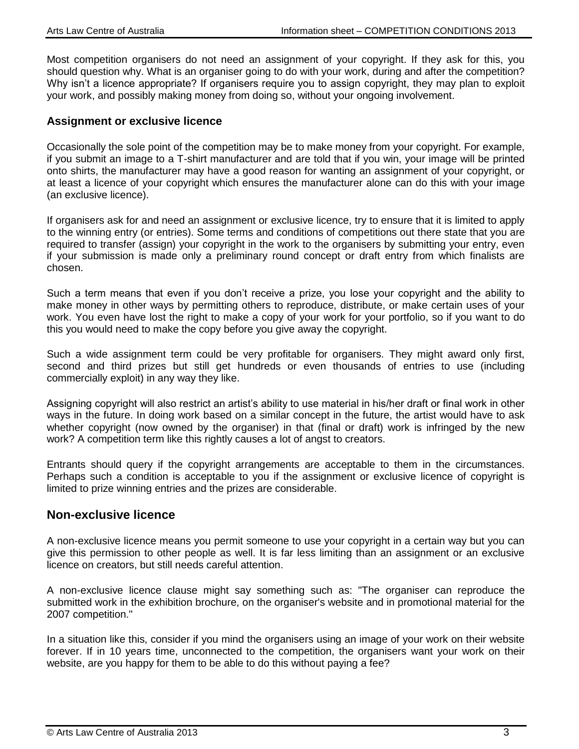Most competition organisers do not need an assignment of your copyright. If they ask for this, you should question why. What is an organiser going to do with your work, during and after the competition? Why isn't a licence appropriate? If organisers require you to assign copyright, they may plan to exploit your work, and possibly making money from doing so, without your ongoing involvement.

#### **Assignment or exclusive licence**

Occasionally the sole point of the competition may be to make money from your copyright. For example, if you submit an image to a T-shirt manufacturer and are told that if you win, your image will be printed onto shirts, the manufacturer may have a good reason for wanting an assignment of your copyright, or at least a licence of your copyright which ensures the manufacturer alone can do this with your image (an exclusive licence).

If organisers ask for and need an assignment or exclusive licence, try to ensure that it is limited to apply to the winning entry (or entries). Some terms and conditions of competitions out there state that you are required to transfer (assign) your copyright in the work to the organisers by submitting your entry, even if your submission is made only a preliminary round concept or draft entry from which finalists are chosen.

Such a term means that even if you don't receive a prize, you lose your copyright and the ability to make money in other ways by permitting others to reproduce, distribute, or make certain uses of your work. You even have lost the right to make a copy of your work for your portfolio, so if you want to do this you would need to make the copy before you give away the copyright.

Such a wide assignment term could be very profitable for organisers. They might award only first, second and third prizes but still get hundreds or even thousands of entries to use (including commercially exploit) in any way they like.

Assigning copyright will also restrict an artist's ability to use material in his/her draft or final work in other ways in the future. In doing work based on a similar concept in the future, the artist would have to ask whether copyright (now owned by the organiser) in that (final or draft) work is infringed by the new work? A competition term like this rightly causes a lot of angst to creators.

Entrants should query if the copyright arrangements are acceptable to them in the circumstances. Perhaps such a condition is acceptable to you if the assignment or exclusive licence of copyright is limited to prize winning entries and the prizes are considerable.

#### **Non-exclusive licence**

A non-exclusive licence means you permit someone to use your copyright in a certain way but you can give this permission to other people as well. It is far less limiting than an assignment or an exclusive licence on creators, but still needs careful attention.

A non-exclusive licence clause might say something such as: "The organiser can reproduce the submitted work in the exhibition brochure, on the organiser's website and in promotional material for the 2007 competition."

In a situation like this, consider if you mind the organisers using an image of your work on their website forever. If in 10 years time, unconnected to the competition, the organisers want your work on their website, are you happy for them to be able to do this without paying a fee?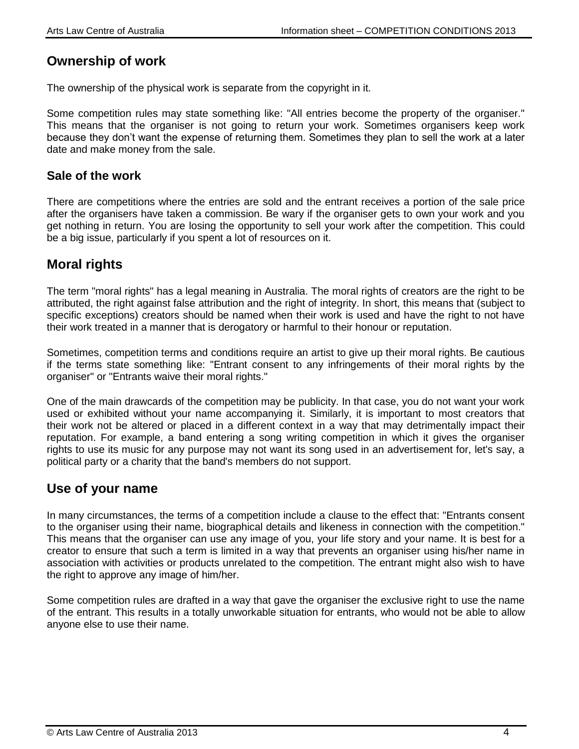### **Ownership of work**

The ownership of the physical work is separate from the copyright in it.

Some competition rules may state something like: "All entries become the property of the organiser." This means that the organiser is not going to return your work. Sometimes organisers keep work because they don't want the expense of returning them. Sometimes they plan to sell the work at a later date and make money from the sale.

#### **Sale of the work**

There are competitions where the entries are sold and the entrant receives a portion of the sale price after the organisers have taken a commission. Be wary if the organiser gets to own your work and you get nothing in return. You are losing the opportunity to sell your work after the competition. This could be a big issue, particularly if you spent a lot of resources on it.

## **Moral rights**

The term "moral rights" has a legal meaning in Australia. The moral rights of creators are the right to be attributed, the right against false attribution and the right of integrity. In short, this means that (subject to specific exceptions) creators should be named when their work is used and have the right to not have their work treated in a manner that is derogatory or harmful to their honour or reputation.

Sometimes, competition terms and conditions require an artist to give up their moral rights. Be cautious if the terms state something like: "Entrant consent to any infringements of their moral rights by the organiser" or "Entrants waive their moral rights."

One of the main drawcards of the competition may be publicity. In that case, you do not want your work used or exhibited without your name accompanying it. Similarly, it is important to most creators that their work not be altered or placed in a different context in a way that may detrimentally impact their reputation. For example, a band entering a song writing competition in which it gives the organiser rights to use its music for any purpose may not want its song used in an advertisement for, let's say, a political party or a charity that the band's members do not support.

### **Use of your name**

In many circumstances, the terms of a competition include a clause to the effect that: "Entrants consent to the organiser using their name, biographical details and likeness in connection with the competition." This means that the organiser can use any image of you, your life story and your name. It is best for a creator to ensure that such a term is limited in a way that prevents an organiser using his/her name in association with activities or products unrelated to the competition. The entrant might also wish to have the right to approve any image of him/her.

Some competition rules are drafted in a way that gave the organiser the exclusive right to use the name of the entrant. This results in a totally unworkable situation for entrants, who would not be able to allow anyone else to use their name.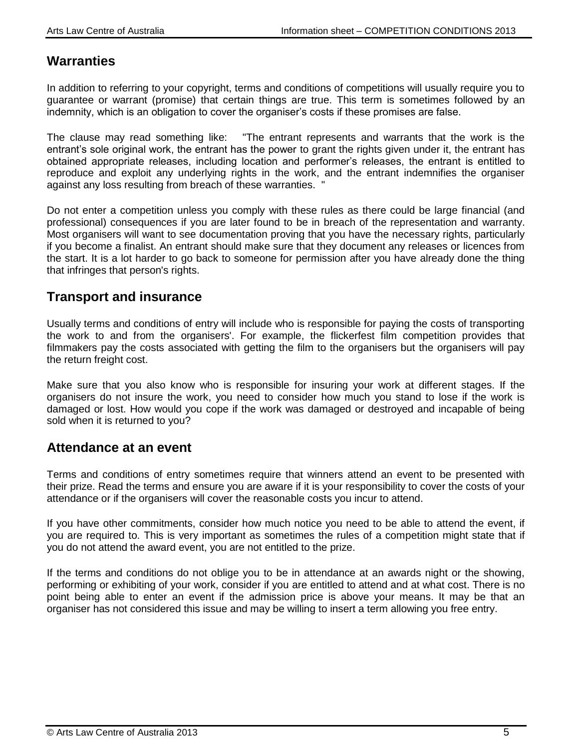### **Warranties**

In addition to referring to your copyright, terms and conditions of competitions will usually require you to guarantee or warrant (promise) that certain things are true. This term is sometimes followed by an indemnity, which is an obligation to cover the organiser's costs if these promises are false.

The clause may read something like: "The entrant represents and warrants that the work is the entrant's sole original work, the entrant has the power to grant the rights given under it, the entrant has obtained appropriate releases, including location and performer's releases, the entrant is entitled to reproduce and exploit any underlying rights in the work, and the entrant indemnifies the organiser against any loss resulting from breach of these warranties. "

Do not enter a competition unless you comply with these rules as there could be large financial (and professional) consequences if you are later found to be in breach of the representation and warranty. Most organisers will want to see documentation proving that you have the necessary rights, particularly if you become a finalist. An entrant should make sure that they document any releases or licences from the start. It is a lot harder to go back to someone for permission after you have already done the thing that infringes that person's rights.

### **Transport and insurance**

Usually terms and conditions of entry will include who is responsible for paying the costs of transporting the work to and from the organisers'. For example, the flickerfest film competition provides that filmmakers pay the costs associated with getting the film to the organisers but the organisers will pay the return freight cost.

Make sure that you also know who is responsible for insuring your work at different stages. If the organisers do not insure the work, you need to consider how much you stand to lose if the work is damaged or lost. How would you cope if the work was damaged or destroyed and incapable of being sold when it is returned to you?

### **Attendance at an event**

Terms and conditions of entry sometimes require that winners attend an event to be presented with their prize. Read the terms and ensure you are aware if it is your responsibility to cover the costs of your attendance or if the organisers will cover the reasonable costs you incur to attend.

If you have other commitments, consider how much notice you need to be able to attend the event, if you are required to. This is very important as sometimes the rules of a competition might state that if you do not attend the award event, you are not entitled to the prize.

If the terms and conditions do not oblige you to be in attendance at an awards night or the showing, performing or exhibiting of your work, consider if you are entitled to attend and at what cost. There is no point being able to enter an event if the admission price is above your means. It may be that an organiser has not considered this issue and may be willing to insert a term allowing you free entry.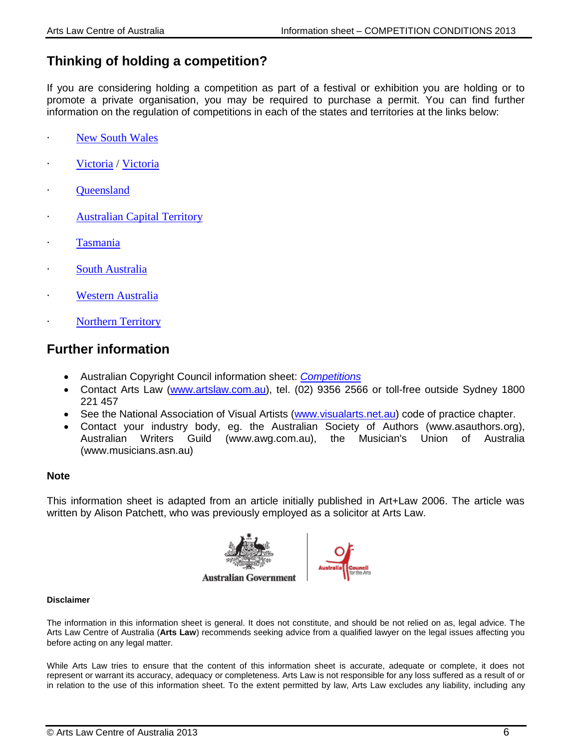## **Thinking of holding a competition?**

If you are considering holding a competition as part of a festival or exhibition you are holding or to promote a private organisation, you may be required to purchase a permit. You can find further information on the regulation of competitions in each of the states and territories at the links below:

- [New South Wales](http://www.artslaw.com.au/?URL=http%3A%2F%2Fwww.fairtrading.nsw.gov.au%2FBusinesses%2FAdvertising_and_marketing%2FSpecial_offers_and_competitions.html)
- [Victoria](http://www.vcglr.vic.gov.au/home/gambling/new+applicants/community+and+charitable+gaming/) / Victoria
- **[Queensland](http://www.artslaw.com.au/?URL=http%3A%2F%2Fwww.olgr.qld.gov.au%2Fresources%2FgamDocs%2FCNPCat4PromoGames.pdf)**
- **[Australian Capital Territory](http://www.artslaw.com.au/?URL=http%3A%2F%2Fwww.gamblingandracing.act.gov.au%2FLotteries%2FTrade%2520Promotions.html)**
- · [Tasmania](http://www.artslaw.com.au/?URL=http%3A%2F%2Fwww.treasury.tas.gov.au%2Fdomino%2Fdtf%2Fdtf.nsf%2Falls-v%2F6277040A0ECF9B8ACA257A160020D1D9)
- [South Australia](http://www.artslaw.com.au/?URL=http%3A%2F%2Fwww.olgc.sa.gov.au%2Fdefault.asp%3Fpage%3Dlottery.trade_promotion_licence.trade_promotion_licence.htm)
- **[Western Australia](http://www.artslaw.com.au/?URL=http%3A%2F%2Fwww.rgl.wa.gov.au%2FResourceFiles%2FApplicationKits%2FGaming%2Ftrade_promotion_lotteries.pdf)**
- **[Northern Territory](http://www.dob.nt.gov.au/gambling-licensing/gambling/lotteries/Pages/trade-lottery.aspx)**

### **Further information**

- Australian Copyright Council information sheet: *[Competitions](http://www.copyright.org.au/find-an-answer/)*
- Contact Arts Law [\(www.artslaw.com.au\)](http://www.artslaw.com.au/), tel. (02) 9356 2566 or toll-free outside Sydney 1800 221 457
- See the National Association of Visual Artists [\(www.visualarts.net.au\)](http://www.visualarts.net.au/) code of practice chapter.
- Contact your industry body, eg. the Australian Society of Authors (www.asauthors.org), Australian Writers Guild (www.awg.com.au), the Musician's Union of Australia (www.musicians.asn.au)

#### **Note**

This information sheet is adapted from an article initially published in Art+Law 2006. The article was written by Alison Patchett, who was previously employed as a solicitor at Arts Law.



#### **Disclaimer**

The information in this information sheet is general. It does not constitute, and should be not relied on as, legal advice. The Arts Law Centre of Australia (**Arts Law**) recommends seeking advice from a qualified lawyer on the legal issues affecting you before acting on any legal matter.

While Arts Law tries to ensure that the content of this information sheet is accurate, adequate or complete, it does not represent or warrant its accuracy, adequacy or completeness. Arts Law is not responsible for any loss suffered as a result of or in relation to the use of this information sheet. To the extent permitted by law, Arts Law excludes any liability, including any